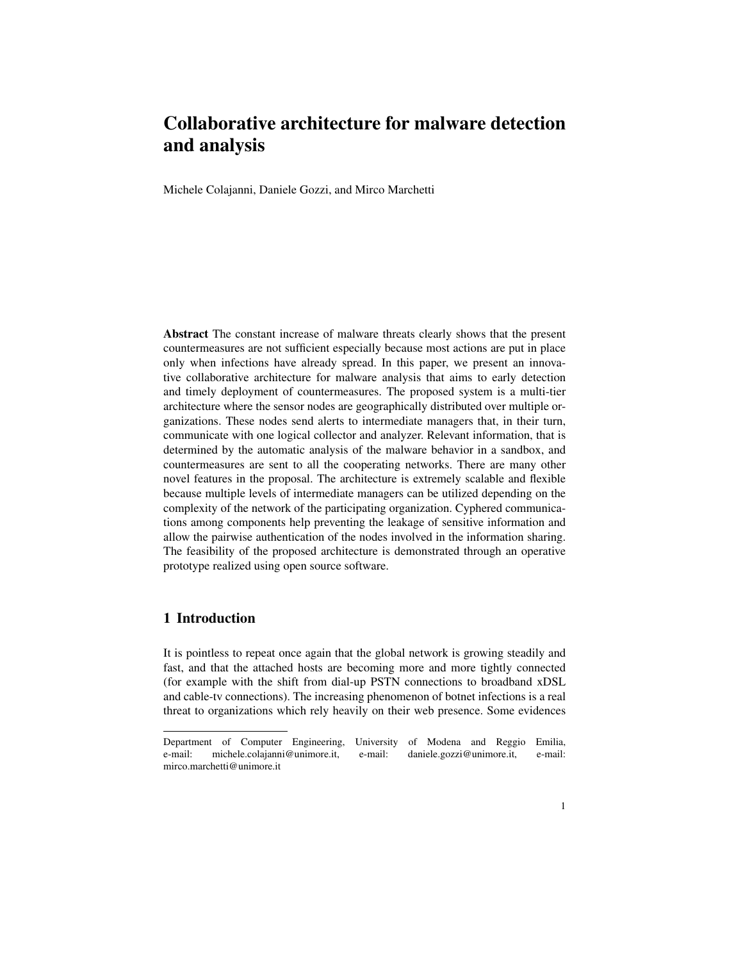# Collaborative architecture for malware detection and analysis

Michele Colajanni, Daniele Gozzi, and Mirco Marchetti

Abstract The constant increase of malware threats clearly shows that the present countermeasures are not sufficient especially because most actions are put in place only when infections have already spread. In this paper, we present an innovative collaborative architecture for malware analysis that aims to early detection and timely deployment of countermeasures. The proposed system is a multi-tier architecture where the sensor nodes are geographically distributed over multiple organizations. These nodes send alerts to intermediate managers that, in their turn, communicate with one logical collector and analyzer. Relevant information, that is determined by the automatic analysis of the malware behavior in a sandbox, and countermeasures are sent to all the cooperating networks. There are many other novel features in the proposal. The architecture is extremely scalable and flexible because multiple levels of intermediate managers can be utilized depending on the complexity of the network of the participating organization. Cyphered communications among components help preventing the leakage of sensitive information and allow the pairwise authentication of the nodes involved in the information sharing. The feasibility of the proposed architecture is demonstrated through an operative prototype realized using open source software.

#### 1 Introduction

It is pointless to repeat once again that the global network is growing steadily and fast, and that the attached hosts are becoming more and more tightly connected (for example with the shift from dial-up PSTN connections to broadband xDSL and cable-tv connections). The increasing phenomenon of botnet infections is a real threat to organizations which rely heavily on their web presence. Some evidences

Department of Computer Engineering, University of Modena and Reggio Emilia, e-mail: michele.colajanni@unimore.it, e-mail: daniele.gozzi@unimore.it, e-mail: mirco.marchetti@unimore.it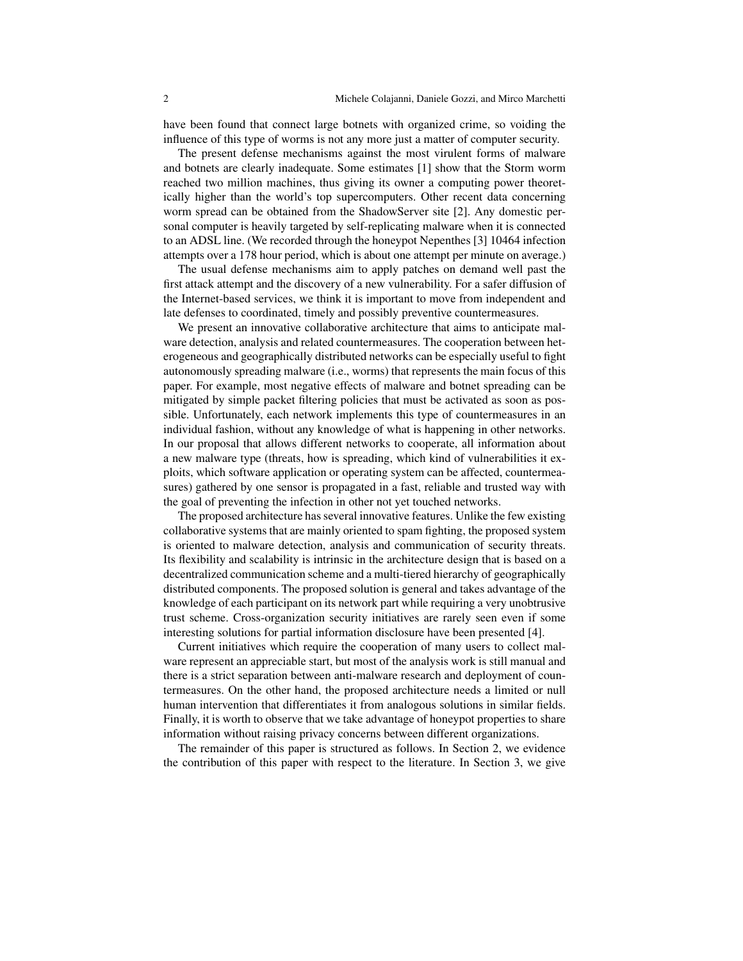have been found that connect large botnets with organized crime, so voiding the influence of this type of worms is not any more just a matter of computer security.

The present defense mechanisms against the most virulent forms of malware and botnets are clearly inadequate. Some estimates [1] show that the Storm worm reached two million machines, thus giving its owner a computing power theoretically higher than the world's top supercomputers. Other recent data concerning worm spread can be obtained from the ShadowServer site [2]. Any domestic personal computer is heavily targeted by self-replicating malware when it is connected to an ADSL line. (We recorded through the honeypot Nepenthes [3] 10464 infection attempts over a 178 hour period, which is about one attempt per minute on average.)

The usual defense mechanisms aim to apply patches on demand well past the first attack attempt and the discovery of a new vulnerability. For a safer diffusion of the Internet-based services, we think it is important to move from independent and late defenses to coordinated, timely and possibly preventive countermeasures.

We present an innovative collaborative architecture that aims to anticipate malware detection, analysis and related countermeasures. The cooperation between heterogeneous and geographically distributed networks can be especially useful to fight autonomously spreading malware (i.e., worms) that represents the main focus of this paper. For example, most negative effects of malware and botnet spreading can be mitigated by simple packet filtering policies that must be activated as soon as possible. Unfortunately, each network implements this type of countermeasures in an individual fashion, without any knowledge of what is happening in other networks. In our proposal that allows different networks to cooperate, all information about a new malware type (threats, how is spreading, which kind of vulnerabilities it exploits, which software application or operating system can be affected, countermeasures) gathered by one sensor is propagated in a fast, reliable and trusted way with the goal of preventing the infection in other not yet touched networks.

The proposed architecture has several innovative features. Unlike the few existing collaborative systems that are mainly oriented to spam fighting, the proposed system is oriented to malware detection, analysis and communication of security threats. Its flexibility and scalability is intrinsic in the architecture design that is based on a decentralized communication scheme and a multi-tiered hierarchy of geographically distributed components. The proposed solution is general and takes advantage of the knowledge of each participant on its network part while requiring a very unobtrusive trust scheme. Cross-organization security initiatives are rarely seen even if some interesting solutions for partial information disclosure have been presented [4].

Current initiatives which require the cooperation of many users to collect malware represent an appreciable start, but most of the analysis work is still manual and there is a strict separation between anti-malware research and deployment of countermeasures. On the other hand, the proposed architecture needs a limited or null human intervention that differentiates it from analogous solutions in similar fields. Finally, it is worth to observe that we take advantage of honeypot properties to share information without raising privacy concerns between different organizations.

The remainder of this paper is structured as follows. In Section 2, we evidence the contribution of this paper with respect to the literature. In Section 3, we give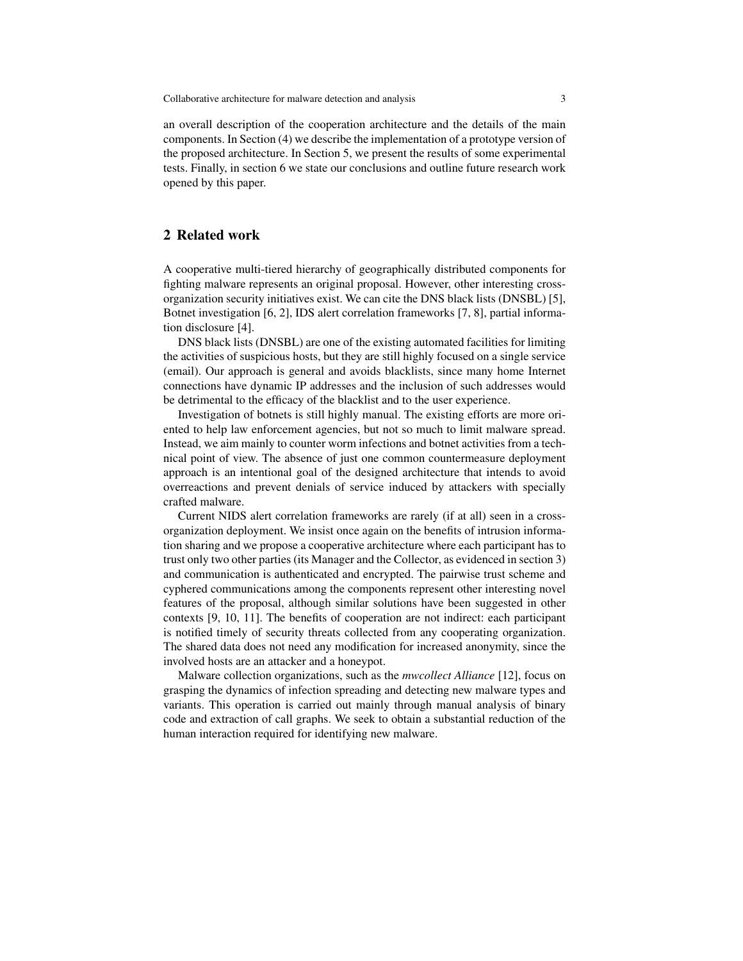an overall description of the cooperation architecture and the details of the main components. In Section (4) we describe the implementation of a prototype version of the proposed architecture. In Section 5, we present the results of some experimental tests. Finally, in section 6 we state our conclusions and outline future research work opened by this paper.

# 2 Related work

A cooperative multi-tiered hierarchy of geographically distributed components for fighting malware represents an original proposal. However, other interesting crossorganization security initiatives exist. We can cite the DNS black lists (DNSBL) [5], Botnet investigation [6, 2], IDS alert correlation frameworks [7, 8], partial information disclosure [4].

DNS black lists (DNSBL) are one of the existing automated facilities for limiting the activities of suspicious hosts, but they are still highly focused on a single service (email). Our approach is general and avoids blacklists, since many home Internet connections have dynamic IP addresses and the inclusion of such addresses would be detrimental to the efficacy of the blacklist and to the user experience.

Investigation of botnets is still highly manual. The existing efforts are more oriented to help law enforcement agencies, but not so much to limit malware spread. Instead, we aim mainly to counter worm infections and botnet activities from a technical point of view. The absence of just one common countermeasure deployment approach is an intentional goal of the designed architecture that intends to avoid overreactions and prevent denials of service induced by attackers with specially crafted malware.

Current NIDS alert correlation frameworks are rarely (if at all) seen in a crossorganization deployment. We insist once again on the benefits of intrusion information sharing and we propose a cooperative architecture where each participant has to trust only two other parties (its Manager and the Collector, as evidenced in section 3) and communication is authenticated and encrypted. The pairwise trust scheme and cyphered communications among the components represent other interesting novel features of the proposal, although similar solutions have been suggested in other contexts [9, 10, 11]. The benefits of cooperation are not indirect: each participant is notified timely of security threats collected from any cooperating organization. The shared data does not need any modification for increased anonymity, since the involved hosts are an attacker and a honeypot.

Malware collection organizations, such as the *mwcollect Alliance* [12], focus on grasping the dynamics of infection spreading and detecting new malware types and variants. This operation is carried out mainly through manual analysis of binary code and extraction of call graphs. We seek to obtain a substantial reduction of the human interaction required for identifying new malware.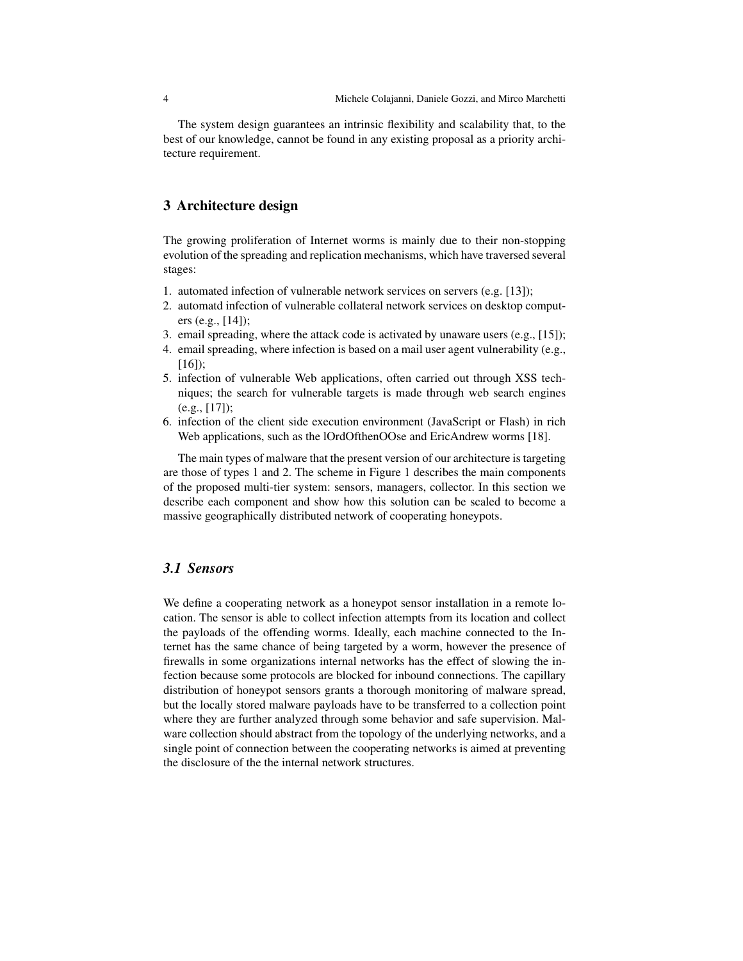The system design guarantees an intrinsic flexibility and scalability that, to the best of our knowledge, cannot be found in any existing proposal as a priority architecture requirement.

# 3 Architecture design

The growing proliferation of Internet worms is mainly due to their non-stopping evolution of the spreading and replication mechanisms, which have traversed several stages:

- 1. automated infection of vulnerable network services on servers (e.g. [13]);
- 2. automatd infection of vulnerable collateral network services on desktop computers (e.g., [14]);
- 3. email spreading, where the attack code is activated by unaware users (e.g., [15]);
- 4. email spreading, where infection is based on a mail user agent vulnerability (e.g., [16]);
- 5. infection of vulnerable Web applications, often carried out through XSS techniques; the search for vulnerable targets is made through web search engines (e.g., [17]);
- 6. infection of the client side execution environment (JavaScript or Flash) in rich Web applications, such as the lOrdOfthenOOse and EricAndrew worms [18].

The main types of malware that the present version of our architecture is targeting are those of types 1 and 2. The scheme in Figure 1 describes the main components of the proposed multi-tier system: sensors, managers, collector. In this section we describe each component and show how this solution can be scaled to become a massive geographically distributed network of cooperating honeypots.

# *3.1 Sensors*

We define a cooperating network as a honeypot sensor installation in a remote location. The sensor is able to collect infection attempts from its location and collect the payloads of the offending worms. Ideally, each machine connected to the Internet has the same chance of being targeted by a worm, however the presence of firewalls in some organizations internal networks has the effect of slowing the infection because some protocols are blocked for inbound connections. The capillary distribution of honeypot sensors grants a thorough monitoring of malware spread, but the locally stored malware payloads have to be transferred to a collection point where they are further analyzed through some behavior and safe supervision. Malware collection should abstract from the topology of the underlying networks, and a single point of connection between the cooperating networks is aimed at preventing the disclosure of the the internal network structures.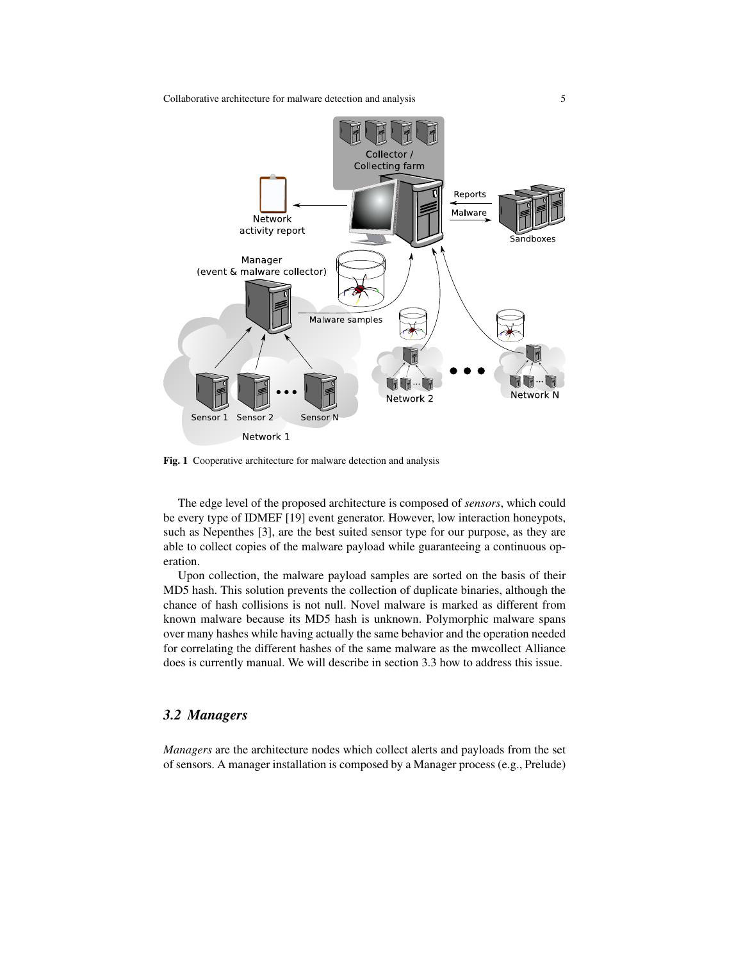Collaborative architecture for malware detection and analysis 5



Fig. 1 Cooperative architecture for malware detection and analysis

The edge level of the proposed architecture is composed of *sensors*, which could be every type of IDMEF [19] event generator. However, low interaction honeypots, such as Nepenthes [3], are the best suited sensor type for our purpose, as they are able to collect copies of the malware payload while guaranteeing a continuous operation.

Upon collection, the malware payload samples are sorted on the basis of their MD5 hash. This solution prevents the collection of duplicate binaries, although the chance of hash collisions is not null. Novel malware is marked as different from known malware because its MD5 hash is unknown. Polymorphic malware spans over many hashes while having actually the same behavior and the operation needed for correlating the different hashes of the same malware as the mwcollect Alliance does is currently manual. We will describe in section 3.3 how to address this issue.

# *3.2 Managers*

*Managers* are the architecture nodes which collect alerts and payloads from the set of sensors. A manager installation is composed by a Manager process (e.g., Prelude)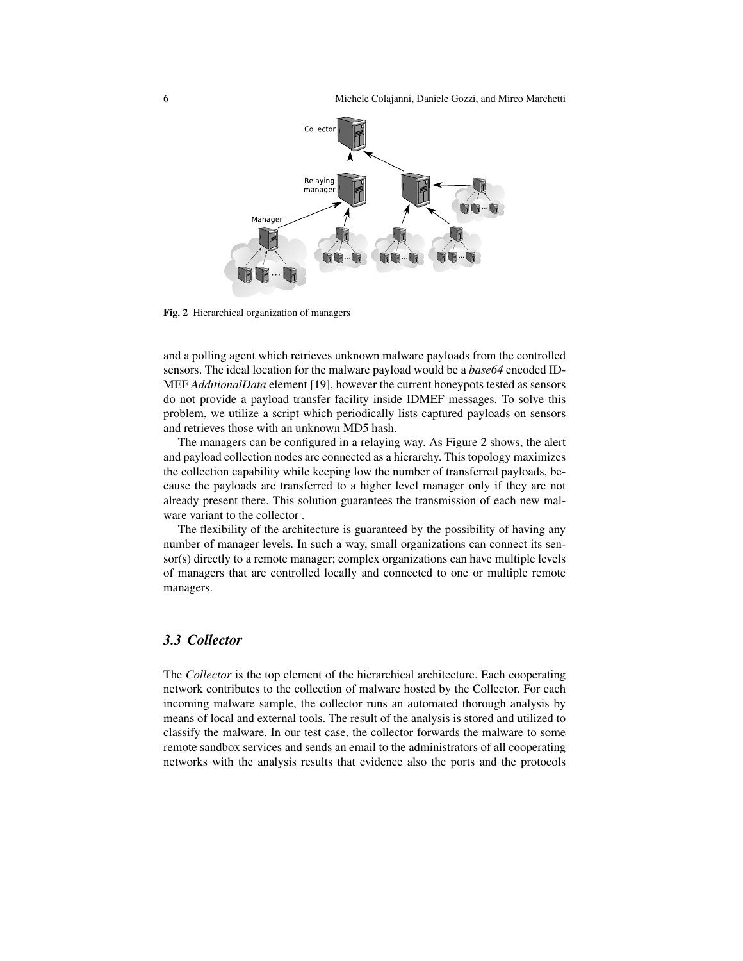

Fig. 2 Hierarchical organization of managers

and a polling agent which retrieves unknown malware payloads from the controlled sensors. The ideal location for the malware payload would be a *base64* encoded ID-MEF *AdditionalData* element [19], however the current honeypots tested as sensors do not provide a payload transfer facility inside IDMEF messages. To solve this problem, we utilize a script which periodically lists captured payloads on sensors and retrieves those with an unknown MD5 hash.

The managers can be configured in a relaying way. As Figure 2 shows, the alert and payload collection nodes are connected as a hierarchy. This topology maximizes the collection capability while keeping low the number of transferred payloads, because the payloads are transferred to a higher level manager only if they are not already present there. This solution guarantees the transmission of each new malware variant to the collector .

The flexibility of the architecture is guaranteed by the possibility of having any number of manager levels. In such a way, small organizations can connect its sensor(s) directly to a remote manager; complex organizations can have multiple levels of managers that are controlled locally and connected to one or multiple remote managers.

# *3.3 Collector*

The *Collector* is the top element of the hierarchical architecture. Each cooperating network contributes to the collection of malware hosted by the Collector. For each incoming malware sample, the collector runs an automated thorough analysis by means of local and external tools. The result of the analysis is stored and utilized to classify the malware. In our test case, the collector forwards the malware to some remote sandbox services and sends an email to the administrators of all cooperating networks with the analysis results that evidence also the ports and the protocols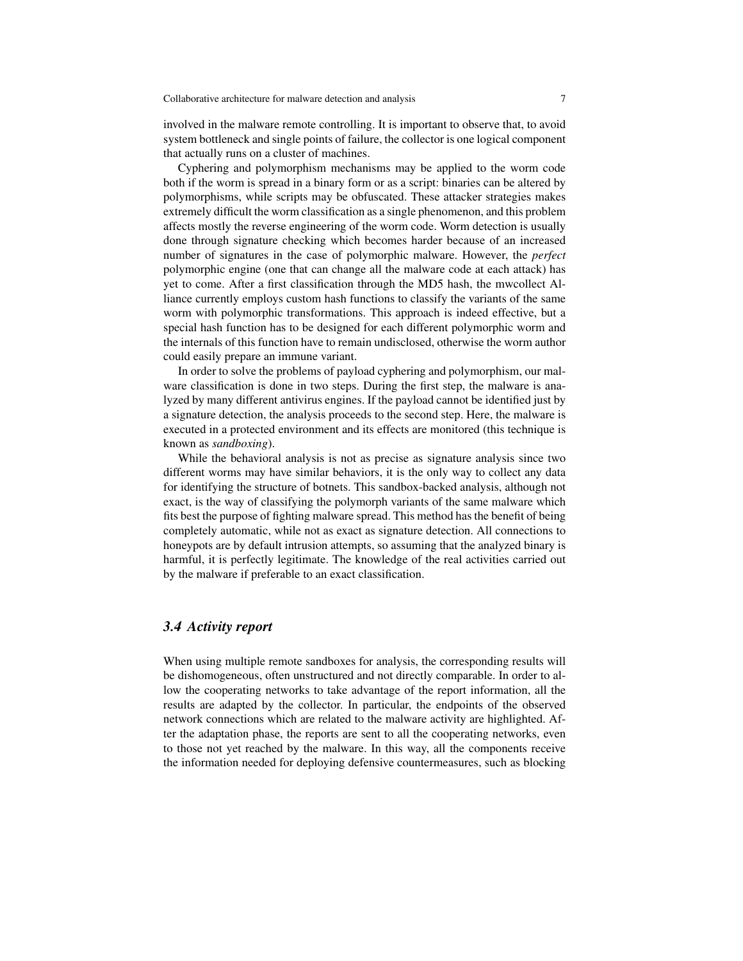involved in the malware remote controlling. It is important to observe that, to avoid system bottleneck and single points of failure, the collector is one logical component that actually runs on a cluster of machines.

Cyphering and polymorphism mechanisms may be applied to the worm code both if the worm is spread in a binary form or as a script: binaries can be altered by polymorphisms, while scripts may be obfuscated. These attacker strategies makes extremely difficult the worm classification as a single phenomenon, and this problem affects mostly the reverse engineering of the worm code. Worm detection is usually done through signature checking which becomes harder because of an increased number of signatures in the case of polymorphic malware. However, the *perfect* polymorphic engine (one that can change all the malware code at each attack) has yet to come. After a first classification through the MD5 hash, the mwcollect Alliance currently employs custom hash functions to classify the variants of the same worm with polymorphic transformations. This approach is indeed effective, but a special hash function has to be designed for each different polymorphic worm and the internals of this function have to remain undisclosed, otherwise the worm author could easily prepare an immune variant.

In order to solve the problems of payload cyphering and polymorphism, our malware classification is done in two steps. During the first step, the malware is analyzed by many different antivirus engines. If the payload cannot be identified just by a signature detection, the analysis proceeds to the second step. Here, the malware is executed in a protected environment and its effects are monitored (this technique is known as *sandboxing*).

While the behavioral analysis is not as precise as signature analysis since two different worms may have similar behaviors, it is the only way to collect any data for identifying the structure of botnets. This sandbox-backed analysis, although not exact, is the way of classifying the polymorph variants of the same malware which fits best the purpose of fighting malware spread. This method has the benefit of being completely automatic, while not as exact as signature detection. All connections to honeypots are by default intrusion attempts, so assuming that the analyzed binary is harmful, it is perfectly legitimate. The knowledge of the real activities carried out by the malware if preferable to an exact classification.

# *3.4 Activity report*

When using multiple remote sandboxes for analysis, the corresponding results will be dishomogeneous, often unstructured and not directly comparable. In order to allow the cooperating networks to take advantage of the report information, all the results are adapted by the collector. In particular, the endpoints of the observed network connections which are related to the malware activity are highlighted. After the adaptation phase, the reports are sent to all the cooperating networks, even to those not yet reached by the malware. In this way, all the components receive the information needed for deploying defensive countermeasures, such as blocking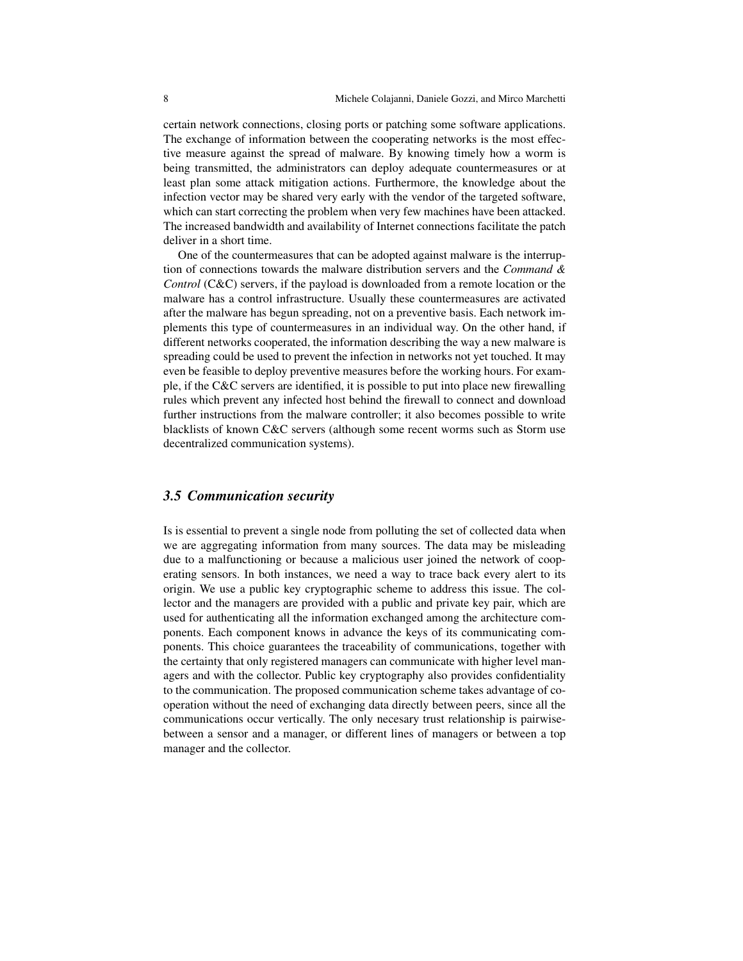certain network connections, closing ports or patching some software applications. The exchange of information between the cooperating networks is the most effective measure against the spread of malware. By knowing timely how a worm is being transmitted, the administrators can deploy adequate countermeasures or at least plan some attack mitigation actions. Furthermore, the knowledge about the infection vector may be shared very early with the vendor of the targeted software, which can start correcting the problem when very few machines have been attacked. The increased bandwidth and availability of Internet connections facilitate the patch deliver in a short time.

One of the countermeasures that can be adopted against malware is the interruption of connections towards the malware distribution servers and the *Command & Control* (C&C) servers, if the payload is downloaded from a remote location or the malware has a control infrastructure. Usually these countermeasures are activated after the malware has begun spreading, not on a preventive basis. Each network implements this type of countermeasures in an individual way. On the other hand, if different networks cooperated, the information describing the way a new malware is spreading could be used to prevent the infection in networks not yet touched. It may even be feasible to deploy preventive measures before the working hours. For example, if the C&C servers are identified, it is possible to put into place new firewalling rules which prevent any infected host behind the firewall to connect and download further instructions from the malware controller; it also becomes possible to write blacklists of known C&C servers (although some recent worms such as Storm use decentralized communication systems).

#### *3.5 Communication security*

Is is essential to prevent a single node from polluting the set of collected data when we are aggregating information from many sources. The data may be misleading due to a malfunctioning or because a malicious user joined the network of cooperating sensors. In both instances, we need a way to trace back every alert to its origin. We use a public key cryptographic scheme to address this issue. The collector and the managers are provided with a public and private key pair, which are used for authenticating all the information exchanged among the architecture components. Each component knows in advance the keys of its communicating components. This choice guarantees the traceability of communications, together with the certainty that only registered managers can communicate with higher level managers and with the collector. Public key cryptography also provides confidentiality to the communication. The proposed communication scheme takes advantage of cooperation without the need of exchanging data directly between peers, since all the communications occur vertically. The only necesary trust relationship is pairwisebetween a sensor and a manager, or different lines of managers or between a top manager and the collector.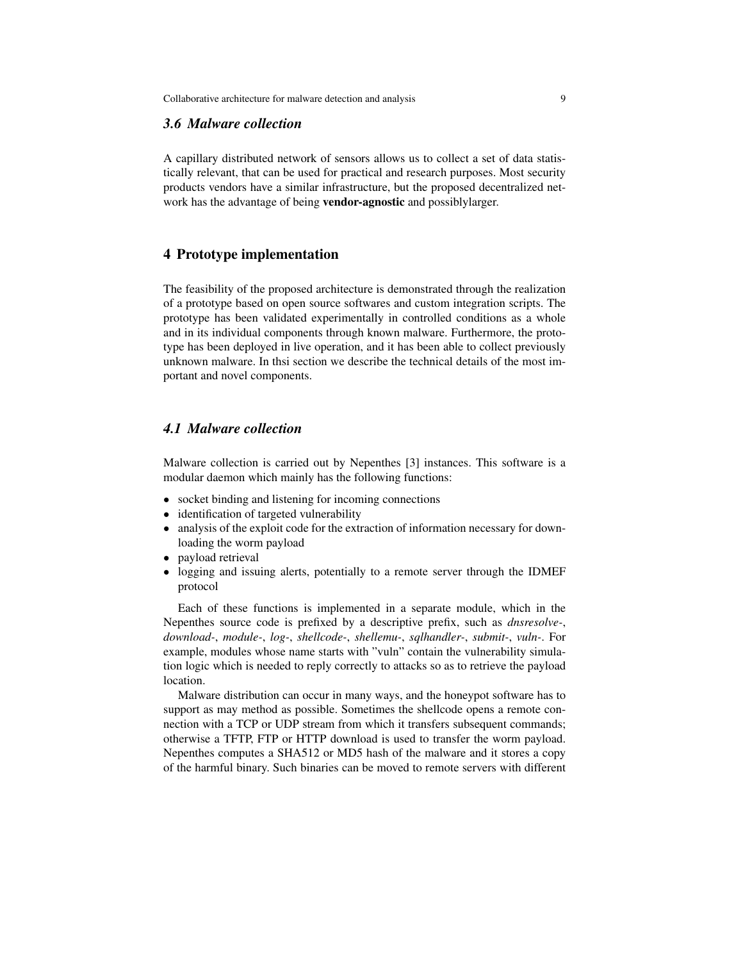#### *3.6 Malware collection*

A capillary distributed network of sensors allows us to collect a set of data statistically relevant, that can be used for practical and research purposes. Most security products vendors have a similar infrastructure, but the proposed decentralized network has the advantage of being vendor-agnostic and possiblylarger.

#### 4 Prototype implementation

The feasibility of the proposed architecture is demonstrated through the realization of a prototype based on open source softwares and custom integration scripts. The prototype has been validated experimentally in controlled conditions as a whole and in its individual components through known malware. Furthermore, the prototype has been deployed in live operation, and it has been able to collect previously unknown malware. In thsi section we describe the technical details of the most important and novel components.

# *4.1 Malware collection*

Malware collection is carried out by Nepenthes [3] instances. This software is a modular daemon which mainly has the following functions:

- socket binding and listening for incoming connections
- identification of targeted vulnerability
- analysis of the exploit code for the extraction of information necessary for downloading the worm payload
- payload retrieval
- logging and issuing alerts, potentially to a remote server through the IDMEF protocol

Each of these functions is implemented in a separate module, which in the Nepenthes source code is prefixed by a descriptive prefix, such as *dnsresolve-*, *download-*, *module-*, *log-*, *shellcode-*, *shellemu-*, *sqlhandler-*, *submit-*, *vuln-*. For example, modules whose name starts with "vuln" contain the vulnerability simulation logic which is needed to reply correctly to attacks so as to retrieve the payload location.

Malware distribution can occur in many ways, and the honeypot software has to support as may method as possible. Sometimes the shellcode opens a remote connection with a TCP or UDP stream from which it transfers subsequent commands; otherwise a TFTP, FTP or HTTP download is used to transfer the worm payload. Nepenthes computes a SHA512 or MD5 hash of the malware and it stores a copy of the harmful binary. Such binaries can be moved to remote servers with different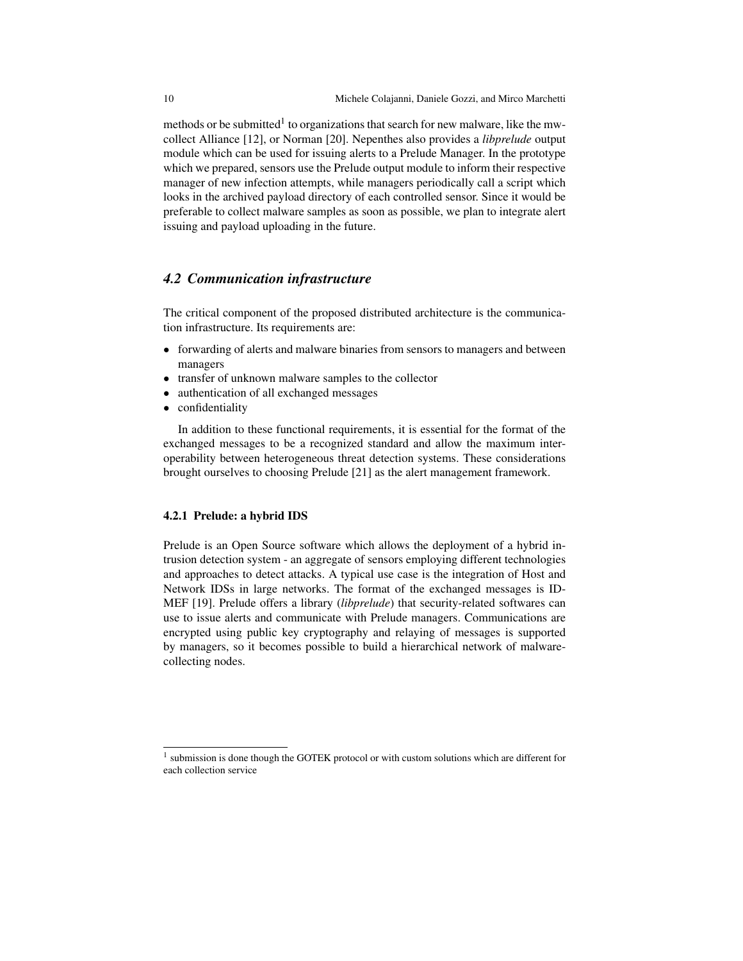methods or be submitted<sup>1</sup> to organizations that search for new malware, like the mwcollect Alliance [12], or Norman [20]. Nepenthes also provides a *libprelude* output module which can be used for issuing alerts to a Prelude Manager. In the prototype which we prepared, sensors use the Prelude output module to inform their respective manager of new infection attempts, while managers periodically call a script which looks in the archived payload directory of each controlled sensor. Since it would be preferable to collect malware samples as soon as possible, we plan to integrate alert issuing and payload uploading in the future.

# *4.2 Communication infrastructure*

The critical component of the proposed distributed architecture is the communication infrastructure. Its requirements are:

- forwarding of alerts and malware binaries from sensors to managers and between managers
- transfer of unknown malware samples to the collector
- authentication of all exchanged messages
- confidentiality

In addition to these functional requirements, it is essential for the format of the exchanged messages to be a recognized standard and allow the maximum interoperability between heterogeneous threat detection systems. These considerations brought ourselves to choosing Prelude [21] as the alert management framework.

#### 4.2.1 Prelude: a hybrid IDS

Prelude is an Open Source software which allows the deployment of a hybrid intrusion detection system - an aggregate of sensors employing different technologies and approaches to detect attacks. A typical use case is the integration of Host and Network IDSs in large networks. The format of the exchanged messages is ID-MEF [19]. Prelude offers a library (*libprelude*) that security-related softwares can use to issue alerts and communicate with Prelude managers. Communications are encrypted using public key cryptography and relaying of messages is supported by managers, so it becomes possible to build a hierarchical network of malwarecollecting nodes.

<sup>&</sup>lt;sup>1</sup> submission is done though the GOTEK protocol or with custom solutions which are different for each collection service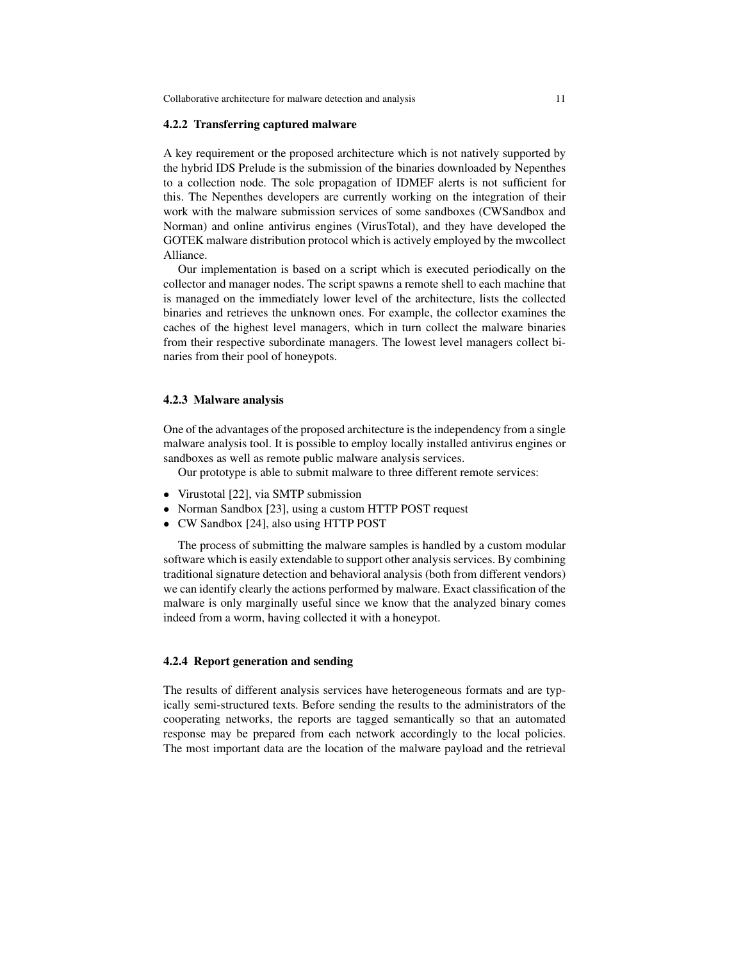Collaborative architecture for malware detection and analysis 11

#### 4.2.2 Transferring captured malware

A key requirement or the proposed architecture which is not natively supported by the hybrid IDS Prelude is the submission of the binaries downloaded by Nepenthes to a collection node. The sole propagation of IDMEF alerts is not sufficient for this. The Nepenthes developers are currently working on the integration of their work with the malware submission services of some sandboxes (CWSandbox and Norman) and online antivirus engines (VirusTotal), and they have developed the GOTEK malware distribution protocol which is actively employed by the mwcollect Alliance.

Our implementation is based on a script which is executed periodically on the collector and manager nodes. The script spawns a remote shell to each machine that is managed on the immediately lower level of the architecture, lists the collected binaries and retrieves the unknown ones. For example, the collector examines the caches of the highest level managers, which in turn collect the malware binaries from their respective subordinate managers. The lowest level managers collect binaries from their pool of honeypots.

#### 4.2.3 Malware analysis

One of the advantages of the proposed architecture is the independency from a single malware analysis tool. It is possible to employ locally installed antivirus engines or sandboxes as well as remote public malware analysis services.

Our prototype is able to submit malware to three different remote services:

- Virustotal [22], via SMTP submission
- Norman Sandbox [23], using a custom HTTP POST request
- CW Sandbox [24], also using HTTP POST

The process of submitting the malware samples is handled by a custom modular software which is easily extendable to support other analysis services. By combining traditional signature detection and behavioral analysis (both from different vendors) we can identify clearly the actions performed by malware. Exact classification of the malware is only marginally useful since we know that the analyzed binary comes indeed from a worm, having collected it with a honeypot.

#### 4.2.4 Report generation and sending

The results of different analysis services have heterogeneous formats and are typically semi-structured texts. Before sending the results to the administrators of the cooperating networks, the reports are tagged semantically so that an automated response may be prepared from each network accordingly to the local policies. The most important data are the location of the malware payload and the retrieval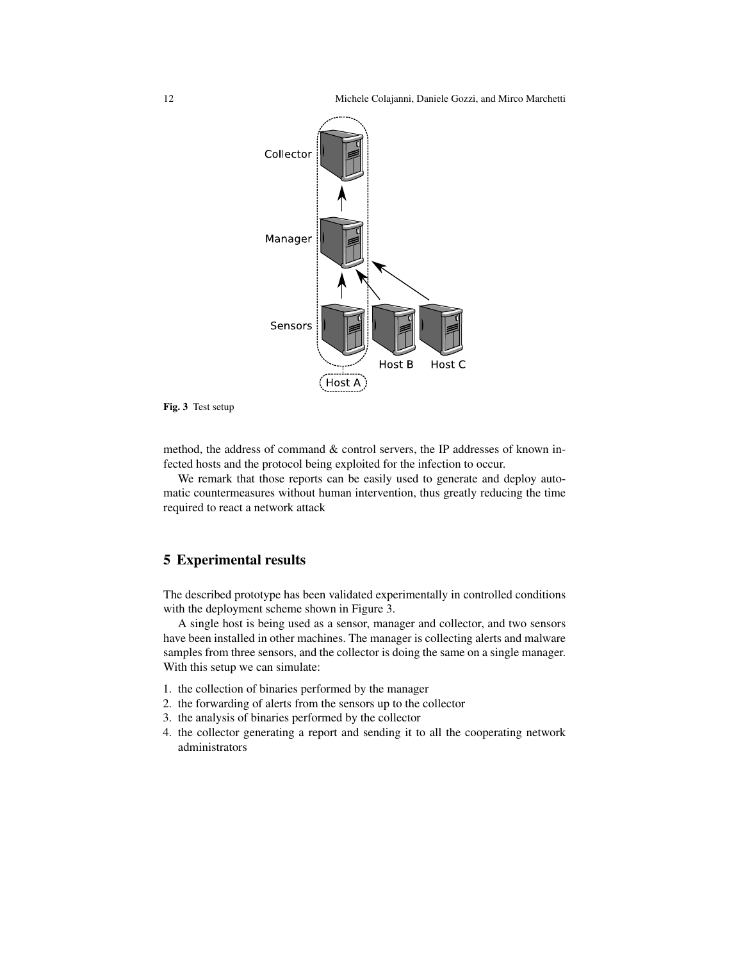

Fig. 3 Test setup

method, the address of command & control servers, the IP addresses of known infected hosts and the protocol being exploited for the infection to occur.

We remark that those reports can be easily used to generate and deploy automatic countermeasures without human intervention, thus greatly reducing the time required to react a network attack

# 5 Experimental results

The described prototype has been validated experimentally in controlled conditions with the deployment scheme shown in Figure 3.

A single host is being used as a sensor, manager and collector, and two sensors have been installed in other machines. The manager is collecting alerts and malware samples from three sensors, and the collector is doing the same on a single manager. With this setup we can simulate:

- 1. the collection of binaries performed by the manager
- 2. the forwarding of alerts from the sensors up to the collector
- 3. the analysis of binaries performed by the collector
- 4. the collector generating a report and sending it to all the cooperating network administrators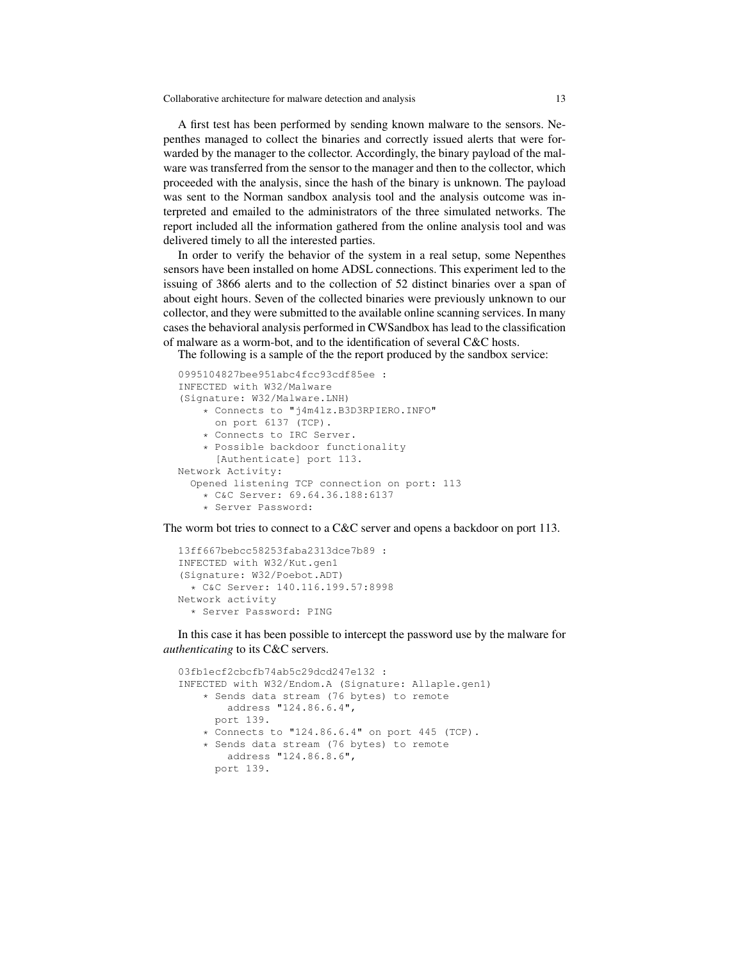A first test has been performed by sending known malware to the sensors. Nepenthes managed to collect the binaries and correctly issued alerts that were forwarded by the manager to the collector. Accordingly, the binary payload of the malware was transferred from the sensor to the manager and then to the collector, which proceeded with the analysis, since the hash of the binary is unknown. The payload was sent to the Norman sandbox analysis tool and the analysis outcome was interpreted and emailed to the administrators of the three simulated networks. The report included all the information gathered from the online analysis tool and was delivered timely to all the interested parties.

In order to verify the behavior of the system in a real setup, some Nepenthes sensors have been installed on home ADSL connections. This experiment led to the issuing of 3866 alerts and to the collection of 52 distinct binaries over a span of about eight hours. Seven of the collected binaries were previously unknown to our collector, and they were submitted to the available online scanning services. In many cases the behavioral analysis performed in CWSandbox has lead to the classification of malware as a worm-bot, and to the identification of several C&C hosts.

The following is a sample of the the report produced by the sandbox service:

```
0995104827bee951abc4fcc93cdf85ee :
INFECTED with W32/Malware
(Signature: W32/Malware.LNH)
    * Connects to "j4m4lz.B3D3RPIERO.INFO"
     on port 6137 (TCP).
    * Connects to IRC Server.
    * Possible backdoor functionality
      [Authenticate] port 113.
Network Activity:
  Opened listening TCP connection on port: 113
    * C&C Server: 69.64.36.188:6137
    * Server Password:
```
The worm bot tries to connect to a C&C server and opens a backdoor on port 113.

```
13ff667bebcc58253faba2313dce7b89 :
INFECTED with W32/Kut.gen1
(Signature: W32/Poebot.ADT)
  * C&C Server: 140.116.199.57:8998
Network activity
  * Server Password: PING
```
In this case it has been possible to intercept the password use by the malware for *authenticating* to its C&C servers.

```
03fb1ecf2cbcfb74ab5c29dcd247e132 :
INFECTED with W32/Endom.A (Signature: Allaple.gen1)
   * Sends data stream (76 bytes) to remote
       address "124.86.6.4",
     port 139.
    * Connects to "124.86.6.4" on port 445 (TCP).
    * Sends data stream (76 bytes) to remote
       address "124.86.8.6",
     port 139.
```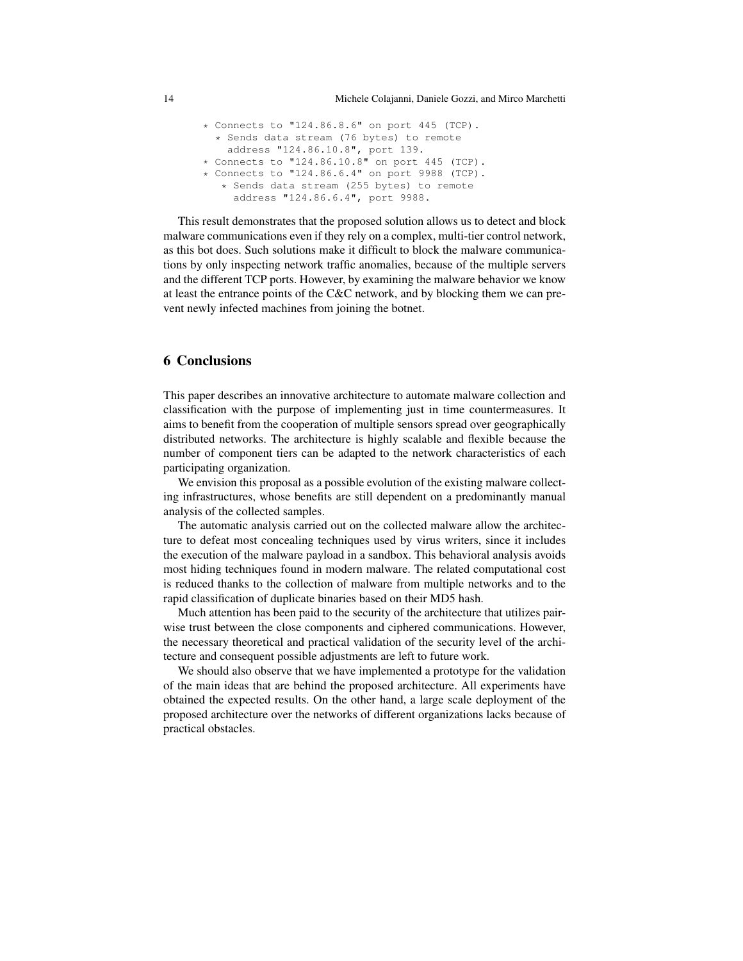```
* Connects to "124.86.8.6" on port 445 (TCP).
 * Sends data stream (76 bytes) to remote
   address "124.86.10.8", port 139.
* Connects to "124.86.10.8" on port 445 (TCP).
* Connects to "124.86.6.4" on port 9988 (TCP).
   * Sends data stream (255 bytes) to remote
    address "124.86.6.4", port 9988.
```
This result demonstrates that the proposed solution allows us to detect and block malware communications even if they rely on a complex, multi-tier control network, as this bot does. Such solutions make it difficult to block the malware communications by only inspecting network traffic anomalies, because of the multiple servers and the different TCP ports. However, by examining the malware behavior we know at least the entrance points of the C&C network, and by blocking them we can prevent newly infected machines from joining the botnet.

# 6 Conclusions

This paper describes an innovative architecture to automate malware collection and classification with the purpose of implementing just in time countermeasures. It aims to benefit from the cooperation of multiple sensors spread over geographically distributed networks. The architecture is highly scalable and flexible because the number of component tiers can be adapted to the network characteristics of each participating organization.

We envision this proposal as a possible evolution of the existing malware collecting infrastructures, whose benefits are still dependent on a predominantly manual analysis of the collected samples.

The automatic analysis carried out on the collected malware allow the architecture to defeat most concealing techniques used by virus writers, since it includes the execution of the malware payload in a sandbox. This behavioral analysis avoids most hiding techniques found in modern malware. The related computational cost is reduced thanks to the collection of malware from multiple networks and to the rapid classification of duplicate binaries based on their MD5 hash.

Much attention has been paid to the security of the architecture that utilizes pairwise trust between the close components and ciphered communications. However, the necessary theoretical and practical validation of the security level of the architecture and consequent possible adjustments are left to future work.

We should also observe that we have implemented a prototype for the validation of the main ideas that are behind the proposed architecture. All experiments have obtained the expected results. On the other hand, a large scale deployment of the proposed architecture over the networks of different organizations lacks because of practical obstacles.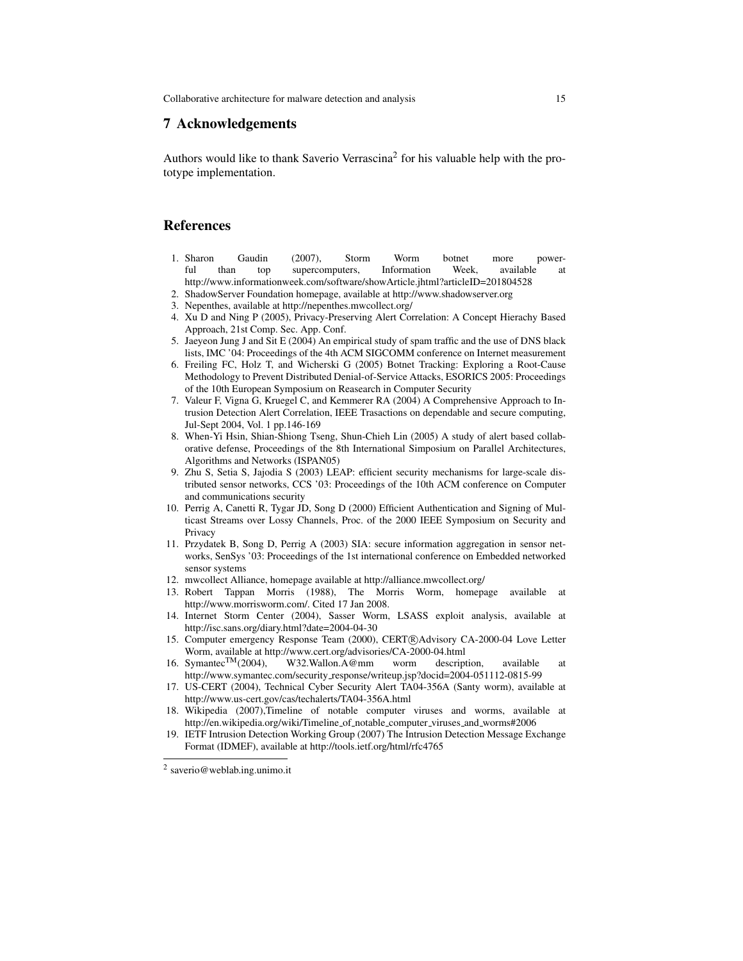#### 7 Acknowledgements

Authors would like to thank Saverio Verrascina<sup>2</sup> for his valuable help with the prototype implementation.

#### References

- 1. Sharon Gaudin (2007), Storm Worm botnet more powerful than top supercomputers, Information Week, available at http://www.informationweek.com/software/showArticle.jhtml?articleID=201804528
- 2. ShadowServer Foundation homepage, available at http://www.shadowserver.org
- 3. Nepenthes, available at http://nepenthes.mwcollect.org/
- 4. Xu D and Ning P (2005), Privacy-Preserving Alert Correlation: A Concept Hierachy Based Approach, 21st Comp. Sec. App. Conf.
- 5. Jaeyeon Jung J and Sit E (2004) An empirical study of spam traffic and the use of DNS black lists, IMC '04: Proceedings of the 4th ACM SIGCOMM conference on Internet measurement
- 6. Freiling FC, Holz T, and Wicherski G (2005) Botnet Tracking: Exploring a Root-Cause Methodology to Prevent Distributed Denial-of-Service Attacks, ESORICS 2005: Proceedings of the 10th European Symposium on Reasearch in Computer Security
- 7. Valeur F, Vigna G, Kruegel C, and Kemmerer RA (2004) A Comprehensive Approach to Intrusion Detection Alert Correlation, IEEE Trasactions on dependable and secure computing, Jul-Sept 2004, Vol. 1 pp.146-169
- 8. When-Yi Hsin, Shian-Shiong Tseng, Shun-Chieh Lin (2005) A study of alert based collaborative defense, Proceedings of the 8th International Simposium on Parallel Architectures, Algorithms and Networks (ISPAN05)
- 9. Zhu S, Setia S, Jajodia S (2003) LEAP: efficient security mechanisms for large-scale distributed sensor networks, CCS '03: Proceedings of the 10th ACM conference on Computer and communications security
- 10. Perrig A, Canetti R, Tygar JD, Song D (2000) Efficient Authentication and Signing of Multicast Streams over Lossy Channels, Proc. of the 2000 IEEE Symposium on Security and Privacy
- 11. Przydatek B, Song D, Perrig A (2003) SIA: secure information aggregation in sensor networks, SenSys '03: Proceedings of the 1st international conference on Embedded networked sensor systems
- 12. mwcollect Alliance, homepage available at http://alliance.mwcollect.org/
- 13. Robert Tappan Morris (1988), The Morris Worm, homepage available http://www.morrisworm.com/. Cited 17 Jan 2008.
- 14. Internet Storm Center (2004), Sasser Worm, LSASS exploit analysis, available at http://isc.sans.org/diary.html?date=2004-04-30
- 15. Computer emergency Response Team (2000), CERT R Advisory CA-2000-04 Love Letter Worm, available at http://www.cert.org/advisories/CA-2000-04.html
- 16. Symantec<sup>TM</sup>(2004), W32. Wallon.A@mm worm description, available at http://www.symantec.com/security response/writeup.jsp?docid=2004-051112-0815-99
- 17. US-CERT (2004), Technical Cyber Security Alert TA04-356A (Santy worm), available at http://www.us-cert.gov/cas/techalerts/TA04-356A.html
- 18. Wikipedia (2007),Timeline of notable computer viruses and worms, available at http://en.wikipedia.org/wiki/Timeline of notable computer viruses and worms#2006
- 19. IETF Intrusion Detection Working Group (2007) The Intrusion Detection Message Exchange Format (IDMEF), available at http://tools.ietf.org/html/rfc4765

<sup>&</sup>lt;sup>2</sup> saverio@weblab.ing.unimo.it